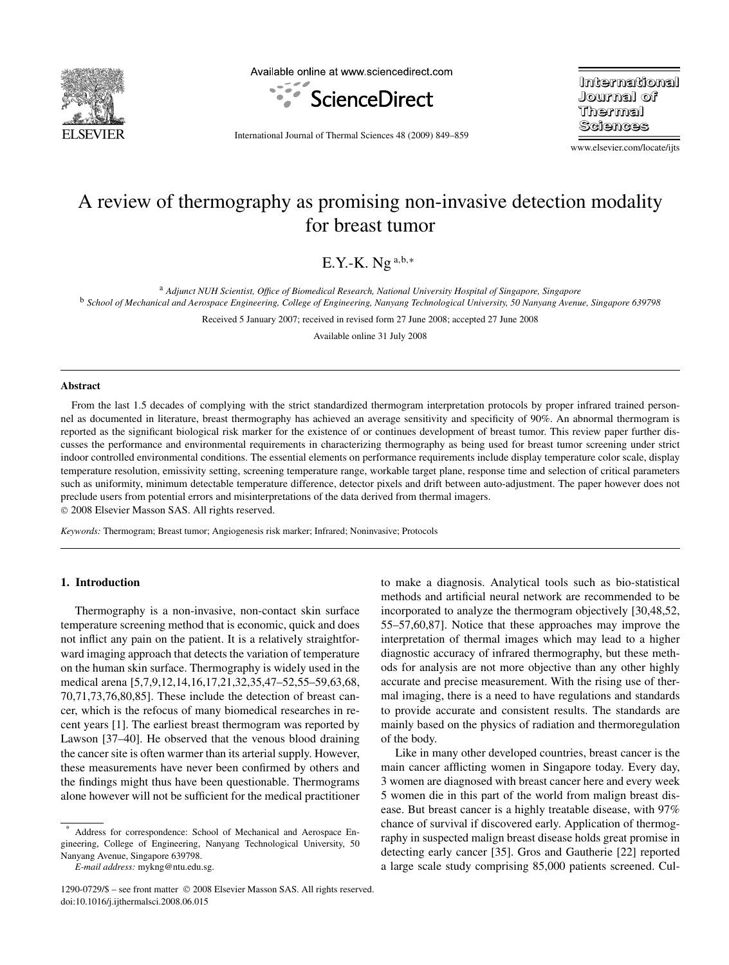

Available online at www.sciencedirect.com



**International Journal of** Thermal Sciences

International Journal of Thermal Sciences 48 (2009) 849–859

www.elsevier.com/locate/ijts

# A review of thermography as promising non-invasive detection modality for breast tumor

E.Y.-K. Ng <sup>a</sup>*,*b*,*<sup>∗</sup>

<sup>a</sup> *Adjunct NUH Scientist, Office of Biomedical Research, National University Hospital of Singapore, Singapore* <sup>b</sup> *School of Mechanical and Aerospace Engineering, College of Engineering, Nanyang Technological University, 50 Nanyang Avenue, Singapore 639798*

Received 5 January 2007; received in revised form 27 June 2008; accepted 27 June 2008

Available online 31 July 2008

## **Abstract**

From the last 1.5 decades of complying with the strict standardized thermogram interpretation protocols by proper infrared trained personnel as documented in literature, breast thermography has achieved an average sensitivity and specificity of 90%. An abnormal thermogram is reported as the significant biological risk marker for the existence of or continues development of breast tumor. This review paper further discusses the performance and environmental requirements in characterizing thermography as being used for breast tumor screening under strict indoor controlled environmental conditions. The essential elements on performance requirements include display temperature color scale, display temperature resolution, emissivity setting, screening temperature range, workable target plane, response time and selection of critical parameters such as uniformity, minimum detectable temperature difference, detector pixels and drift between auto-adjustment. The paper however does not preclude users from potential errors and misinterpretations of the data derived from thermal imagers.

© 2008 Elsevier Masson SAS. All rights reserved.

*Keywords:* Thermogram; Breast tumor; Angiogenesis risk marker; Infrared; Noninvasive; Protocols

#### **1. Introduction**

Thermography is a non-invasive, non-contact skin surface temperature screening method that is economic, quick and does not inflict any pain on the patient. It is a relatively straightforward imaging approach that detects the variation of temperature on the human skin surface. Thermography is widely used in the medical arena [5,7,9,12,14,16,17,21,32,35,47–52,55–59,63,68, 70,71,73,76,80,85]. These include the detection of breast cancer, which is the refocus of many biomedical researches in recent years [1]. The earliest breast thermogram was reported by Lawson [37–40]. He observed that the venous blood draining the cancer site is often warmer than its arterial supply. However, these measurements have never been confirmed by others and the findings might thus have been questionable. Thermograms alone however will not be sufficient for the medical practitioner to make a diagnosis. Analytical tools such as bio-statistical methods and artificial neural network are recommended to be incorporated to analyze the thermogram objectively [30,48,52, 55–57,60,87]. Notice that these approaches may improve the interpretation of thermal images which may lead to a higher diagnostic accuracy of infrared thermography, but these methods for analysis are not more objective than any other highly accurate and precise measurement. With the rising use of thermal imaging, there is a need to have regulations and standards to provide accurate and consistent results. The standards are mainly based on the physics of radiation and thermoregulation of the body.

Like in many other developed countries, breast cancer is the main cancer afflicting women in Singapore today. Every day, 3 women are diagnosed with breast cancer here and every week 5 women die in this part of the world from malign breast disease. But breast cancer is a highly treatable disease, with 97% chance of survival if discovered early. Application of thermography in suspected malign breast disease holds great promise in detecting early cancer [35]. Gros and Gautherie [22] reported a large scale study comprising 85,000 patients screened. Cul-

Address for correspondence: School of Mechanical and Aerospace Engineering, College of Engineering, Nanyang Technological University, 50 Nanyang Avenue, Singapore 639798.

*E-mail address:* mykng@ntu.edu.sg.

<sup>1290-0729/\$ –</sup> see front matter © 2008 Elsevier Masson SAS. All rights reserved. doi:10.1016/j.ijthermalsci.2008.06.015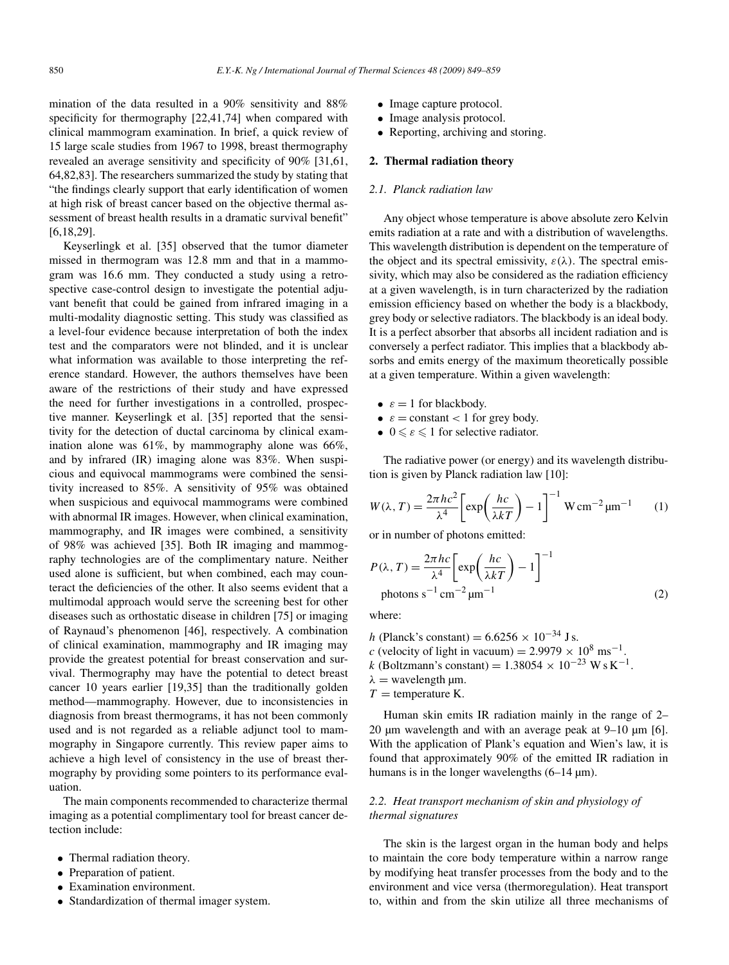mination of the data resulted in a 90% sensitivity and 88% specificity for thermography [22,41,74] when compared with clinical mammogram examination. In brief, a quick review of 15 large scale studies from 1967 to 1998, breast thermography revealed an average sensitivity and specificity of 90% [31,61, 64,82,83]. The researchers summarized the study by stating that "the findings clearly support that early identification of women at high risk of breast cancer based on the objective thermal assessment of breast health results in a dramatic survival benefit" [6,18,29].

Keyserlingk et al. [35] observed that the tumor diameter missed in thermogram was 12.8 mm and that in a mammogram was 16.6 mm. They conducted a study using a retrospective case-control design to investigate the potential adjuvant benefit that could be gained from infrared imaging in a multi-modality diagnostic setting. This study was classified as a level-four evidence because interpretation of both the index test and the comparators were not blinded, and it is unclear what information was available to those interpreting the reference standard. However, the authors themselves have been aware of the restrictions of their study and have expressed the need for further investigations in a controlled, prospective manner. Keyserlingk et al. [35] reported that the sensitivity for the detection of ductal carcinoma by clinical examination alone was 61%, by mammography alone was 66%, and by infrared (IR) imaging alone was 83%. When suspicious and equivocal mammograms were combined the sensitivity increased to 85%. A sensitivity of 95% was obtained when suspicious and equivocal mammograms were combined with abnormal IR images. However, when clinical examination, mammography, and IR images were combined, a sensitivity of 98% was achieved [35]. Both IR imaging and mammography technologies are of the complimentary nature. Neither used alone is sufficient, but when combined, each may counteract the deficiencies of the other. It also seems evident that a multimodal approach would serve the screening best for other diseases such as orthostatic disease in children [75] or imaging of Raynaud's phenomenon [46], respectively. A combination of clinical examination, mammography and IR imaging may provide the greatest potential for breast conservation and survival. Thermography may have the potential to detect breast cancer 10 years earlier [19,35] than the traditionally golden method—mammography. However, due to inconsistencies in diagnosis from breast thermograms, it has not been commonly used and is not regarded as a reliable adjunct tool to mammography in Singapore currently. This review paper aims to achieve a high level of consistency in the use of breast thermography by providing some pointers to its performance evaluation.

The main components recommended to characterize thermal imaging as a potential complimentary tool for breast cancer detection include:

- Thermal radiation theory.
- Preparation of patient.
- Examination environment.
- Standardization of thermal imager system.
- Image capture protocol.
- Image analysis protocol.
- Reporting, archiving and storing.

#### **2. Thermal radiation theory**

## *2.1. Planck radiation law*

Any object whose temperature is above absolute zero Kelvin emits radiation at a rate and with a distribution of wavelengths. This wavelength distribution is dependent on the temperature of the object and its spectral emissivity,  $\varepsilon(\lambda)$ . The spectral emissivity, which may also be considered as the radiation efficiency at a given wavelength, is in turn characterized by the radiation emission efficiency based on whether the body is a blackbody, grey body or selective radiators. The blackbody is an ideal body. It is a perfect absorber that absorbs all incident radiation and is conversely a perfect radiator. This implies that a blackbody absorbs and emits energy of the maximum theoretically possible at a given temperature. Within a given wavelength:

- $\varepsilon = 1$  for blackbody.
- $\varepsilon$  = constant < 1 for grey body.
- $0 \le \varepsilon \le 1$  for selective radiator.

The radiative power (or energy) and its wavelength distribution is given by Planck radiation law [10]:

$$
W(\lambda, T) = \frac{2\pi hc^2}{\lambda^4} \left[ \exp\left(\frac{hc}{\lambda kT}\right) - 1 \right]^{-1} \text{W cm}^{-2} \mu \text{m}^{-1} \qquad (1)
$$

or in number of photons emitted:

$$
P(\lambda, T) = \frac{2\pi hc}{\lambda^4} \left[ \exp\left(\frac{hc}{\lambda kT}\right) - 1 \right]^{-1}
$$
  
photons s<sup>-1</sup> cm<sup>-2</sup>  $\mu$ m<sup>-1</sup> (2)

where:

*h* (Planck's constant) =  $6.6256 \times 10^{-34}$  J s. *c* (velocity of light in vacuum) =  $2.9979 \times 10^8$  ms<sup>-1</sup>. *k* (Boltzmann's constant) =  $1.38054 \times 10^{-23}$  Ws K<sup>-1</sup>.  $λ =$  wavelength  $μm$ .  $T =$  temperature K.

Human skin emits IR radiation mainly in the range of 2– 20  $\mu$ m wavelength and with an average peak at 9–10  $\mu$ m [6]. With the application of Plank's equation and Wien's law, it is found that approximately 90% of the emitted IR radiation in humans is in the longer wavelengths (6–14 µm).

# *2.2. Heat transport mechanism of skin and physiology of thermal signatures*

The skin is the largest organ in the human body and helps to maintain the core body temperature within a narrow range by modifying heat transfer processes from the body and to the environment and vice versa (thermoregulation). Heat transport to, within and from the skin utilize all three mechanisms of